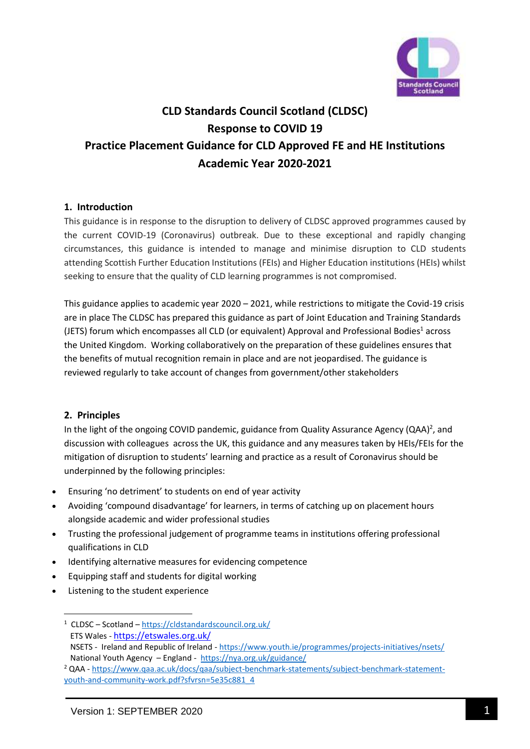

# **CLD Standards Council Scotland (CLDSC) Response to COVID 19 Practice Placement Guidance for CLD Approved FE and HE Institutions Academic Year 2020-2021**

### **1. Introduction**

This guidance is in response to the disruption to delivery of CLDSC approved programmes caused by the current COVID-19 (Coronavirus) outbreak. Due to these exceptional and rapidly changing circumstances, this guidance is intended to manage and minimise disruption to CLD students attending Scottish Further Education Institutions (FEIs) and Higher Education institutions (HEIs) whilst seeking to ensure that the quality of CLD learning programmes is not compromised.

This guidance applies to academic year 2020 – 2021, while restrictions to mitigate the Covid-19 crisis are in place The CLDSC has prepared this guidance as part of Joint Education and Training Standards (JETS) forum which encompasses all CLD (or equivalent) Approval and Professional Bodies<sup>1</sup> across the United Kingdom. Working collaboratively on the preparation of these guidelines ensures that the benefits of mutual recognition remain in place and are not jeopardised. The guidance is reviewed regularly to take account of changes from government/other stakeholders

### **2. Principles**

In the light of the ongoing COVID pandemic, guidance from Quality Assurance Agency (QAA)<sup>2</sup>, and discussion with colleagues across the UK, this guidance and any measures taken by HEIs/FEIs for the mitigation of disruption to students' learning and practice as a result of Coronavirus should be underpinned by the following principles:

- Ensuring 'no detriment' to students on end of year activity
- Avoiding 'compound disadvantage' for learners, in terms of catching up on placement hours alongside academic and wider professional studies
- Trusting the professional judgement of programme teams in institutions offering professional qualifications in CLD
- Identifying alternative measures for evidencing competence
- Equipping staff and students for digital working
- Listening to the student experience

**<sup>.</sup>** <sup>1</sup> CLDSC – Scotland – <https://cldstandardscouncil.org.uk/> ETS Wales - <https://etswales.org.uk/>

NSETS - Ireland and Republic of Ireland - <https://www.youth.ie/programmes/projects-initiatives/nsets/> National Youth Agency – England -<https://nya.org.uk/guidance/>

<sup>2</sup> QAA - [https://www.qaa.ac.uk/docs/qaa/subject-benchmark-statements/subject-benchmark-statement](https://www.qaa.ac.uk/docs/qaa/subject-benchmark-statements/subject-benchmark-statement-youth-and-community-work.pdf?sfvrsn=5e35c881_4)[youth-and-community-work.pdf?sfvrsn=5e35c881\\_4](https://www.qaa.ac.uk/docs/qaa/subject-benchmark-statements/subject-benchmark-statement-youth-and-community-work.pdf?sfvrsn=5e35c881_4)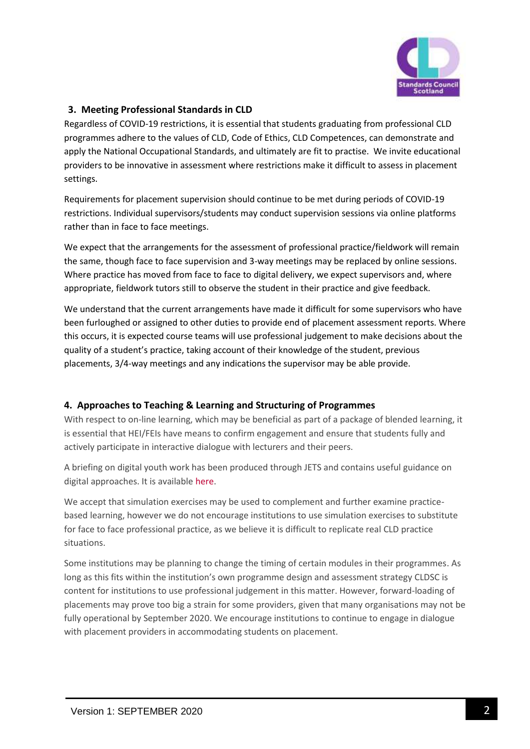

# **3. Meeting Professional Standards in CLD**

Regardless of COVID-19 restrictions, it is essential that students graduating from professional CLD programmes adhere to the values of CLD, Code of Ethics, CLD Competences, can demonstrate and apply the National Occupational Standards, and ultimately are fit to practise. We invite educational providers to be innovative in assessment where restrictions make it difficult to assess in placement settings.

Requirements for placement supervision should continue to be met during periods of COVID-19 restrictions. Individual supervisors/students may conduct supervision sessions via online platforms rather than in face to face meetings.

We expect that the arrangements for the assessment of professional practice/fieldwork will remain the same, though face to face supervision and 3-way meetings may be replaced by online sessions. Where practice has moved from face to face to digital delivery, we expect supervisors and, where appropriate, fieldwork tutors still to observe the student in their practice and give feedback.

We understand that the current arrangements have made it difficult for some supervisors who have been furloughed or assigned to other duties to provide end of placement assessment reports. Where this occurs, it is expected course teams will use professional judgement to make decisions about the quality of a student's practice, taking account of their knowledge of the student, previous placements, 3/4-way meetings and any indications the supervisor may be able provide.

### **4. Approaches to Teaching & Learning and Structuring of Programmes**

With respect to on-line learning, which may be beneficial as part of a package of blended learning, it is essential that HEI/FEIs have means to confirm engagement and ensure that students fully and actively participate in interactive dialogue with lecturers and their peers.

A briefing on digital youth work has been produced through JETS and contains useful guidance on digital approaches. It is available [here.](https://etswales.org.uk/digital-youth-work)

We accept that simulation exercises may be used to complement and further examine practicebased learning, however we do not encourage institutions to use simulation exercises to substitute for face to face professional practice, as we believe it is difficult to replicate real CLD practice situations.

Some institutions may be planning to change the timing of certain modules in their programmes. As long as this fits within the institution's own programme design and assessment strategy CLDSC is content for institutions to use professional judgement in this matter. However, forward-loading of placements may prove too big a strain for some providers, given that many organisations may not be fully operational by September 2020. We encourage institutions to continue to engage in dialogue with placement providers in accommodating students on placement.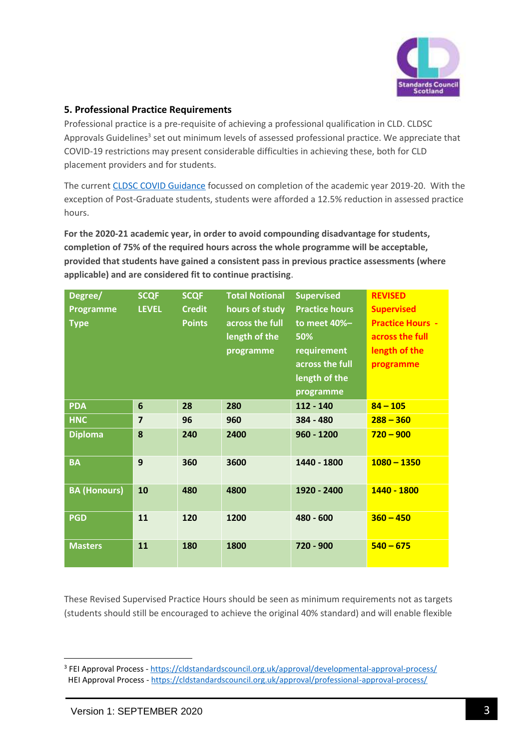

### **5. Professional Practice Requirements**

Professional practice is a pre-requisite of achieving a professional qualification in CLD. CLDSC Approvals Guidelines<sup>3</sup> set out minimum levels of assessed professional practice. We appreciate that COVID-19 restrictions may present considerable difficulties in achieving these, both for CLD placement providers and for students.

The curren[t CLDSC COVID Guidance](https://cldstandardscouncil.org.uk/updated-guidance/) focussed on completion of the academic year 2019-20. With the exception of Post-Graduate students, students were afforded a 12.5% reduction in assessed practice hours.

**For the 2020-21 academic year, in order to avoid compounding disadvantage for students, completion of 75% of the required hours across the whole programme will be acceptable, provided that students have gained a consistent pass in previous practice assessments (where applicable) and are considered fit to continue practising**.

| Degree/             | <b>SCQF</b>             | <b>SCQF</b>   | <b>Total Notional</b> | <b>Supervised</b>     | <b>REVISED</b>          |
|---------------------|-------------------------|---------------|-----------------------|-----------------------|-------------------------|
| <b>Programme</b>    | <b>LEVEL</b>            | <b>Credit</b> | hours of study        | <b>Practice hours</b> | <b>Supervised</b>       |
| <b>Type</b>         |                         | <b>Points</b> | across the full       | to meet 40%-          | <b>Practice Hours -</b> |
|                     |                         |               | length of the         | 50%                   | across the full         |
|                     |                         |               | programme             | requirement           | length of the           |
|                     |                         |               |                       | across the full       | programme               |
|                     |                         |               |                       | length of the         |                         |
|                     |                         |               |                       | programme             |                         |
| <b>PDA</b>          | 6                       | 28            | 280                   | 112 - 140             | $84 - 105$              |
| <b>HNC</b>          | $\overline{\mathbf{z}}$ | 96            | 960                   | 384 - 480             | $288 - 360$             |
| <b>Diploma</b>      | 8                       | 240           | 2400                  | $960 - 1200$          | $720 - 900$             |
| <b>BA</b>           | 9                       | 360           | 3600                  | 1440 - 1800           | $1080 - 1350$           |
| <b>BA (Honours)</b> | 10                      | 480           | 4800                  | 1920 - 2400           | 1440 - 1800             |
| <b>PGD</b>          | 11                      | 120           | 1200                  | 480 - 600             | $360 - 450$             |
| <b>Masters</b>      | 11                      | 180           | 1800                  | 720 - 900             | $540 - 675$             |

These Revised Supervised Practice Hours should be seen as minimum requirements not as targets (students should still be encouraged to achieve the original 40% standard) and will enable flexible

1

<sup>&</sup>lt;sup>3</sup> FEI Approval Process - <https://cldstandardscouncil.org.uk/approval/developmental-approval-process/> HEI Approval Process - <https://cldstandardscouncil.org.uk/approval/professional-approval-process/>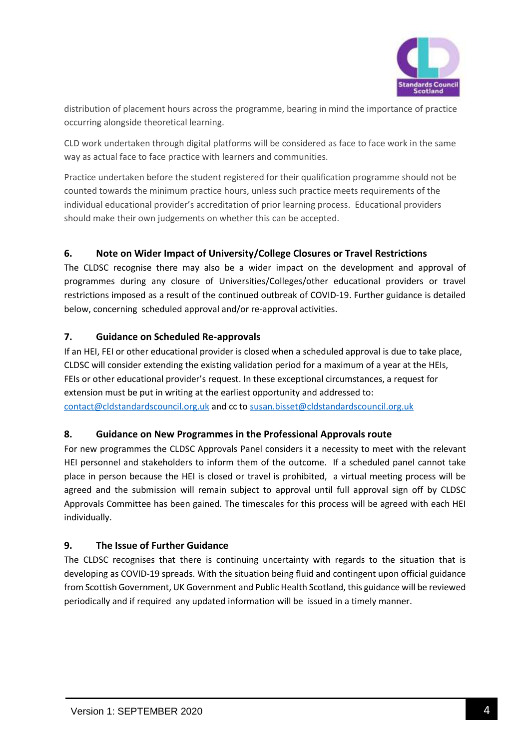

distribution of placement hours across the programme, bearing in mind the importance of practice occurring alongside theoretical learning.

CLD work undertaken through digital platforms will be considered as face to face work in the same way as actual face to face practice with learners and communities.

Practice undertaken before the student registered for their qualification programme should not be counted towards the minimum practice hours, unless such practice meets requirements of the individual educational provider's accreditation of prior learning process. Educational providers should make their own judgements on whether this can be accepted.

# **6. Note on Wider Impact of University/College Closures or Travel Restrictions**

The CLDSC recognise there may also be a wider impact on the development and approval of programmes during any closure of Universities/Colleges/other educational providers or travel restrictions imposed as a result of the continued outbreak of COVID-19. Further guidance is detailed below, concerning scheduled approval and/or re-approval activities.

# **7. Guidance on Scheduled Re-approvals**

If an HEI, FEI or other educational provider is closed when a scheduled approval is due to take place, CLDSC will consider extending the existing validation period for a maximum of a year at the HEIs, FEIs or other educational provider's request. In these exceptional circumstances, a request for extension must be put in writing at the earliest opportunity and addressed to: [contact@cldstandardscouncil.org.uk](mailto:contact@cldstandardscouncil.org.uk) and cc t[o susan.bisset@cldstandardscouncil.org.uk](mailto:susan.bisset@cldstandardscouncil.org.uk) 

# **8. Guidance on New Programmes in the Professional Approvals route**

For new programmes the CLDSC Approvals Panel considers it a necessity to meet with the relevant HEI personnel and stakeholders to inform them of the outcome. If a scheduled panel cannot take place in person because the HEI is closed or travel is prohibited, a virtual meeting process will be agreed and the submission will remain subject to approval until full approval sign off by CLDSC Approvals Committee has been gained. The timescales for this process will be agreed with each HEI individually.

# **9. The Issue of Further Guidance**

The CLDSC recognises that there is continuing uncertainty with regards to the situation that is developing as COVID-19 spreads. With the situation being fluid and contingent upon official guidance from Scottish Government, UK Government and Public Health Scotland, this guidance will be reviewed periodically and if required any updated information will be issued in a timely manner.